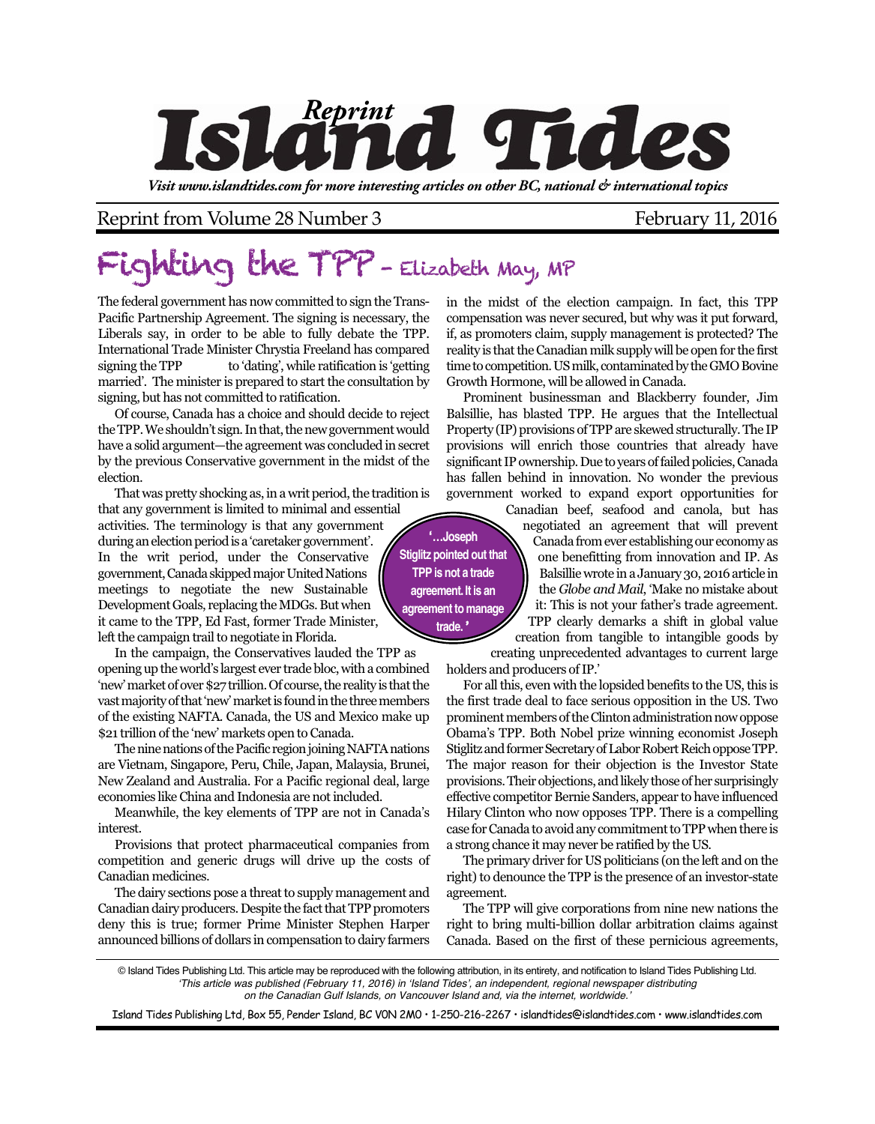

*Visit www.islandtides.com for more interesting articles on other BC, national & international topics*

Reprint from Volume 28 Number 3 February 11, 2016

## Fighting the TPP - Elizabeth May, MP

The federal government has now committed to sign the Trans-Pacific Partnership Agreement. The signing is necessary, the Liberals say, in order to be able to fully debate the TPP. International Trade Minister Chrystia Freeland has compared signing the TPP to 'dating', while ratification is 'getting married'. The minister is prepared to start the consultation by signing, but has not committed to ratification.

Of course, Canada has a choice and should decide to reject the TPP. We shouldn't sign. In that, the new government would have a solid argument—the agreement was concluded in secret by the previous Conservative government in the midst of the election.

That was pretty shocking as, in a writ period, the tradition is that any government is limited to minimal and essential activities. The terminology is that any government during an election period is a 'caretaker government'. In the writ period, under the Conservative government, Canada skipped major United Nations meetings to negotiate the new Sustainable Development Goals, replacing the MDGs. But when it came to the TPP, Ed Fast, former Trade Minister, left the campaign trail to negotiate in Florida.

In the campaign, the Conservatives lauded the TPP as opening up the world's largest ever trade bloc, with a combined 'new' market of over \$27 trillion. Of course, the reality is that the vast majority of that 'new' market is found in the three members of the existing NAFTA. Canada, the US and Mexico make up \$21 trillion of the 'new' markets open to Canada.

The nine nations of the Pacific region joining NAFTA nations are Vietnam, Singapore, Peru, Chile, Japan, Malaysia, Brunei, New Zealand and Australia. For a Pacific regional deal, large economies like China and Indonesia are not included.

Meanwhile, the key elements of TPP are not in Canada's interest.

Provisions that protect pharmaceutical companies from competition and generic drugs will drive up the costs of Canadian medicines.

The dairy sections pose a threat to supply management and Canadian dairy producers. Despite the fact that TPP promoters deny this is true; former Prime Minister Stephen Harper announced billions of dollars in compensation to dairy farmers

in the midst of the election campaign. In fact, this TPP compensation was never secured, but why was it put forward, if, as promoters claim, supply management is protected? The reality is that the Canadian milk supply will be open for the first time to competition. US milk, contaminated by the GMO Bovine Growth Hormone, will be allowed in Canada.

Prominent businessman and Blackberry founder, Jim Balsillie, has blasted TPP. He argues that the Intellectual Property (IP) provisions of TPP are skewed structurally. The IP provisions will enrich those countries that already have significant IP ownership. Due to years of failed policies, Canada has fallen behind in innovation. No wonder the previous government worked to expand export opportunities for

**'…Joseph Stiglitz pointed out that TPP is not a trade agreement. It is an agreement to manage trade. '**

Canadian beef, seafood and canola, but has negotiated an agreement that will prevent Canada from ever establishing our economy as one benefitting from innovation and IP. As Balsillie wrote in a January 30, 2016 article in the *Globe and Mail*, 'Make no mistake about it: This is not your father's trade agreement. TPP clearly demarks a shift in global value

creation from tangible to intangible goods by creating unprecedented advantages to current large holders and producers of IP.'

For all this, even with the lopsided benefits to the US, this is the first trade deal to face serious opposition in the US. Two prominent members of the Clinton administration now oppose Obama's TPP. Both Nobel prize winning economist Joseph Stiglitz and former Secretary of Labor Robert Reich oppose TPP. The major reason for their objection is the Investor State provisions. Their objections, and likely those of her surprisingly effective competitor Bernie Sanders, appear to have influenced Hilary Clinton who now opposes TPP. There is a compelling case for Canada to avoid any commitment to TPP when there is a strong chance it may never be ratified by the US.

The primary driver for US politicians (on the left and on the right) to denounce the TPP is the presence of an investor-state agreement.

The TPP will give corporations from nine new nations the right to bring multi-billion dollar arbitration claims against Canada. Based on the first of these pernicious agreements,

© Island Tides Publishing Ltd. This article may be reproduced with the following attribution, in its entirety, and notification to Island Tides Publishing Ltd. *'This article was published (February 11, 2016) in 'Island Tides', an independent, regional newspaper distributing on the Canadian Gulf Islands, on Vancouver Island and, via the internet, worldwide.'*

Island Tides Publishing Ltd, Box 55, Pender Island, BC V0N 2M0 • 1-250-216-2267 • islandtides@islandtides.com • www.islandtides.com